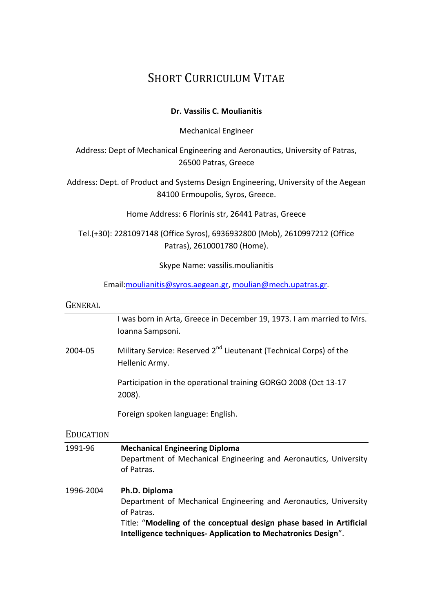## SHORT CURRICULUM VITAE

### **Dr. Vassilis C. Moulianitis**

Mechanical Engineer

Address: Dept of Mechanical Engineering and Aeronautics, University of Patras, 26500 Patras, Greece

Address: Dept. of Product and Systems Design Engineering, University of the Aegean 84100 Ermoupolis, Syros, Greece.

Home Address: 6 Florinis str, 26441 Patras, Greece

Tel.(+30): 2281097148 (Office Syros), 6936932800 (Mob), 2610997212 (Office Patras), 2610001780 (Home).

Skype Name: vassilis.moulianitis

Email[:moulianitis@syros.aegean.gr](mailto:moulianitis@syros.aegean.gr), [moulian@mech.upatras.gr](mailto:moulian@mech.upatras.gr).

#### GENERAL

I was born in Arta, Greece in December 19, 1973. I am married to Mrs. Ioanna Sampsoni.

2004-05 Military Service: Reserved 2<sup>nd</sup> Lieutenant (Technical Corps) of the Hellenic Army.

> Participation in the operational training GORGO 2008 (Oct 13-17 2008).

Foreign spoken language: English.

### **EDUCATION**

| 1991-96   | <b>Mechanical Engineering Diploma</b><br>Department of Mechanical Engineering and Aeronautics, University<br>of Patras.                                                                                                                |
|-----------|----------------------------------------------------------------------------------------------------------------------------------------------------------------------------------------------------------------------------------------|
| 1996-2004 | Ph.D. Diploma<br>Department of Mechanical Engineering and Aeronautics, University<br>of Patras.<br>Title: "Modeling of the conceptual design phase based in Artificial<br>Intelligence techniques-Application to Mechatronics Design". |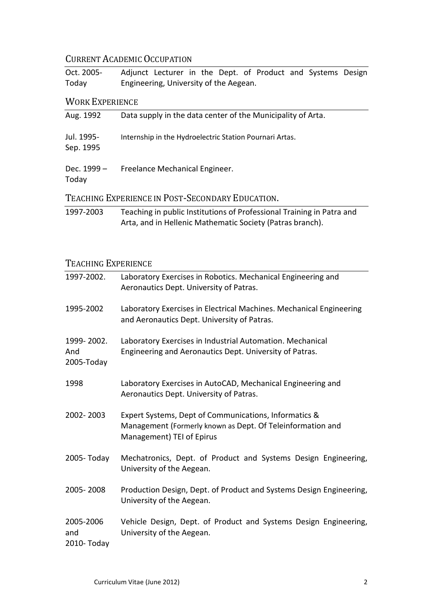## CURRENT ACADEMIC OCCUPATION

| Oct. 2005- | Adjunct Lecturer in the Dept. of Product and Systems Design |
|------------|-------------------------------------------------------------|
| Today      | Engineering, University of the Aegean.                      |

## WORK EXPERIENCE

| Aug. 1992               | Data supply in the data center of the Municipality of Arta.                                                                        |
|-------------------------|------------------------------------------------------------------------------------------------------------------------------------|
| Jul. 1995-<br>Sep. 1995 | Internship in the Hydroelectric Station Pournari Artas.                                                                            |
| Dec. 1999 -<br>Today    | Freelance Mechanical Engineer.                                                                                                     |
|                         | TEACHING EXPERIENCE IN POST-SECONDARY EDUCATION.                                                                                   |
| 1997-2003               | Teaching in public Institutions of Professional Training in Patra and<br>Arta, and in Hellenic Mathematic Society (Patras branch). |

## TEACHING EXPERIENCE

| 1997-2002.                      | Laboratory Exercises in Robotics. Mechanical Engineering and<br>Aeronautics Dept. University of Patras.                                          |
|---------------------------------|--------------------------------------------------------------------------------------------------------------------------------------------------|
| 1995-2002                       | Laboratory Exercises in Electrical Machines. Mechanical Engineering<br>and Aeronautics Dept. University of Patras.                               |
| 1999-2002.<br>And<br>2005-Today | Laboratory Exercises in Industrial Automation. Mechanical<br>Engineering and Aeronautics Dept. University of Patras.                             |
| 1998                            | Laboratory Exercises in AutoCAD, Mechanical Engineering and<br>Aeronautics Dept. University of Patras.                                           |
| 2002-2003                       | Expert Systems, Dept of Communications, Informatics &<br>Management (Formerly known as Dept. Of Teleinformation and<br>Management) TEI of Epirus |
| 2005-Today                      | Mechatronics, Dept. of Product and Systems Design Engineering,<br>University of the Aegean.                                                      |
| 2005-2008                       | Production Design, Dept. of Product and Systems Design Engineering,<br>University of the Aegean.                                                 |
| 2005-2006<br>and<br>2010- Today | Vehicle Design, Dept. of Product and Systems Design Engineering,<br>University of the Aegean.                                                    |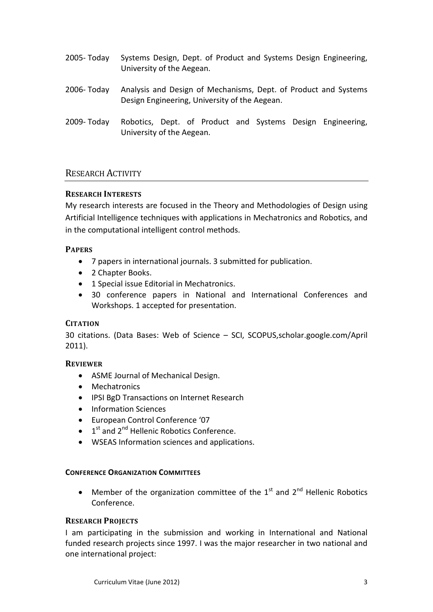- 2005- Today Systems Design, Dept. of Product and Systems Design Engineering, University of the Aegean.
- 2006- Today Analysis and Design of Mechanisms, Dept. of Product and Systems Design Engineering, University of the Aegean.
- 2009- Today Robotics, Dept. of Product and Systems Design Engineering, University of the Aegean.

### RESEARCH ACTIVITY

### **RESEARCH INTERESTS**

My research interests are focused in the Theory and Methodologies of Design using Artificial Intelligence techniques with applications in Mechatronics and Robotics, and in the computational intelligent control methods.

### **PAPERS**

- 7 papers in international journals. 3 submitted for publication.
- 2 Chapter Books.
- 1 Special issue Editorial in Mechatronics.
- 30 conference papers in National and International Conferences and Workshops. 1 accepted for presentation.

### **CITATION**

30 citations. (Data Bases: Web of Science – SCI, SCOPUS,scholar.google.com/April 2011).

### **REVIEWER**

- ASME Journal of Mechanical Design.
- Mechatronics
- IPSI BgD Transactions on Internet Research
- Information Sciences
- European Control Conference '07
- $\bullet$  1<sup>st</sup> and 2<sup>nd</sup> Hellenic Robotics Conference.
- WSEAS Information sciences and applications.

#### **CONFERENCE ORGANIZATION COMMITTEES**

• Member of the organization committee of the  $1<sup>st</sup>$  and  $2<sup>nd</sup>$  Hellenic Robotics Conference.

### **RESEARCH PROJECTS**

I am participating in the submission and working in International and National funded research projects since 1997. I was the major researcher in two national and one international project: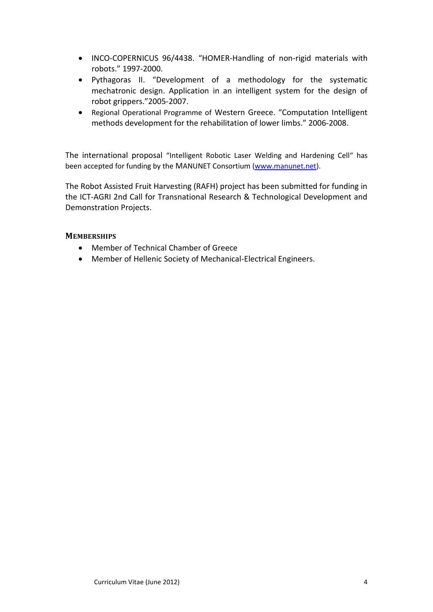- INCO-COPERNICUS 96/4438. "HOMER-Handling of non-rigid materials with robots." 1997-2000.
- Pythagoras ΙΙ. "Development of a methodology for the systematic mechatronic design. Application in an intelligent system for the design of robot grippers."2005-2007.
- Regional Operational Programme of Western Greece. "Computation Intelligent methods development for the rehabilitation of lower limbs." 2006-2008.

The international proposal "Intelligent Robotic Laser Welding and Hardening Cell" has been accepted for funding by the MANUNET Consortium [\(www.manunet.net\)](http://www.manunet.net/).

The Robot Assisted Fruit Harvesting (RAFH) project has been submitted for funding in the ICT-AGRI 2nd Call for Transnational Research & Technological Development and Demonstration Projects.

### **MEMBERSHIPS**

- Member of Technical Chamber of Greece
- Member of Hellenic Society of Mechanical-Electrical Engineers.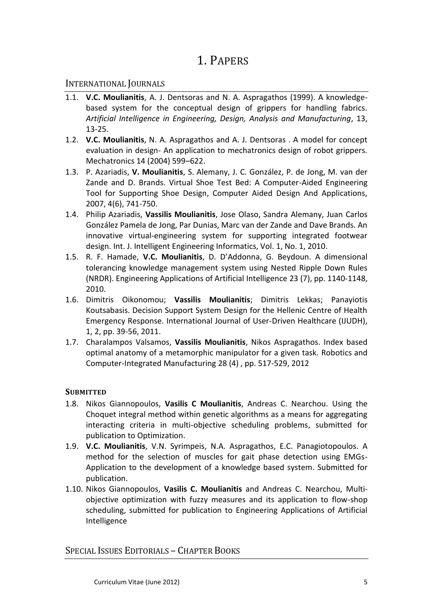## 1. PAPERS

## INTERNATIONAL JOURNALS

- <span id="page-4-0"></span>1.1. **V.C. Moulianitis**, A. J. Dentsoras and N. A. Aspragathos (1999). A knowledgebased system for the conceptual design of grippers for handling fabrics. *Artificial Intelligence in Engineering, Design, Analysis and Manufacturing*, 13, 13-25.
- <span id="page-4-1"></span>1.2. **V.C. Moulianitis**, N. A. Aspragathos and A. J. Dentsoras . A model for concept evaluation in design- An application to mechatronics design of robot grippers. Mechatronics 14 (2004) 599–622.
- 1.3. P. Azariadis, **V. Moulianitis**, S. Alemany, J. C. González, P. de Jong, M. van der Zande and D. Brands. Virtual Shoe Test Bed: A Computer-Aided Engineering Tool for Supporting Shoe Design, Computer Aided Design And Applications, 2007, 4(6), 741-750.
- 1.4. Philip Azariadis, **Vassilis Moulianitis**, Jose Olaso, Sandra Alemany, Juan Carlos González Pamela de Jong, Par Dunias, Marc van der Zande and Dave Brands. An innovative virtual-engineering system for supporting integrated footwear design. Int. J. Intelligent Engineering Informatics, Vol. 1, No. 1, 2010.
- <span id="page-4-2"></span>1.5. R. F. Hamade, **V.C. Moulianitis**, D. D'Addonna, G. Beydoun. A dimensional tolerancing knowledge management system using Nested Ripple Down Rules (NRDR). [Engineering Applications of Artificial Intelligence](http://www.scopus.com/source/sourceInfo.url?sourceId=24182&origin=resultslist) 23 (7), pp. 1140-1148, 2010.
- 1.6. Dimitris Oikonomou; **Vassilis Moulianitis**; Dimitris Lekkas; Panayiotis Koutsabasis. Decision Support System Design for the Hellenic Centre of Health Emergency Response. [International Journal of User-Driven Healthcare \(IJUDH\),](http://www.igi-global.com/bookstore/titledetails.aspx?titleid=41022) 1, 2, pp. 39-56, 2011.
- 1.7. Charalampos Valsamos, **Vassilis Moulianitis**, Nikos Aspragathos. Index based optimal anatomy of a metamorphic manipulator for a given task. [Robotics and](http://www.scopus.com/source/sourceInfo.url?sourceId=18080&origin=resultslist)  [Computer-Integrated Manufacturing](http://www.scopus.com/source/sourceInfo.url?sourceId=18080&origin=resultslist) 28 (4) , pp. 517-529, 2012

### **SUBMITTED**

- 1.8. Nikos Giannopoulos, **Vasilis C Moulianitis**, Andreas C. Nearchou. Using the Choquet integral method within genetic algorithms as a means for aggregating interacting criteria in multi-objective scheduling problems, submitted for publication to Optimization.
- 1.9. **V.C. Moulianitis**, V.N. Syrimpeis, N.A. Aspragathos, E.C. Panagiotopoulos. A method for the selection of muscles for gait phase detection using EMGs-Application to the development of a knowledge based system. Submitted for publication.
- 1.10. Nikos Giannopoulos, **Vasilis C. Moulianitis** and Andreas C. Nearchou, Multiobjective optimization with fuzzy measures and its application to flow-shop scheduling, submitted for publication to Engineering Applications of Artificial Intelligence

## SPECIAL ISSUES EDITORIALS – CHAPTER BOOKS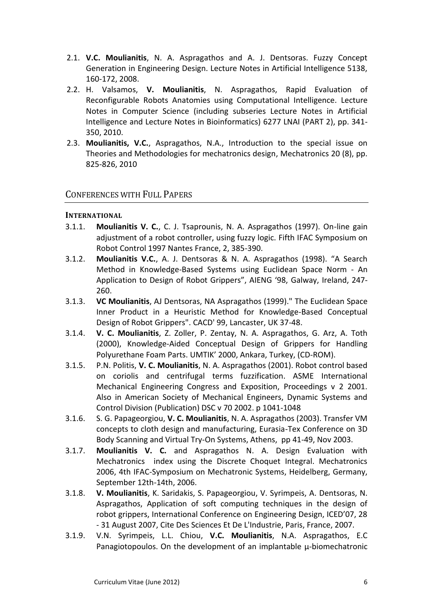- 2.1. **V.C. Moulianitis**, N. A. Aspragathos and A. J. Dentsoras. Fuzzy Concept Generation in Engineering Design. Lecture Notes in Artificial Intelligence 5138, 160-172, 2008.
- 2.2. H. Valsamos, **V. Moulianitis**, N. Aspragathos, Rapid Evaluation of Reconfigurable Robots Anatomies using Computational Intelligence. [Lecture](http://www.scopus.com/source/sourceInfo.url?sourceId=25674&origin=resultslist)  [Notes in Computer Science \(including subseries Lecture Notes in Artificial](http://www.scopus.com/source/sourceInfo.url?sourceId=25674&origin=resultslist)  Intelligence [and Lecture Notes in Bioinformatics\)](http://www.scopus.com/source/sourceInfo.url?sourceId=25674&origin=resultslist) 6277 LNAI (PART 2), pp. 341- 350, 2010.
- 2.3. **[Moulianitis, V.C.](http://www.scopus.com/authid/detail.url?origin=resultslist&authorId=6506258012)**, [Aspragathos, N.A.,](http://www.scopus.com/authid/detail.url?origin=resultslist&authorId=35241692600) [Introduction to the special issue on](http://www.scopus.com/record/display.url?eid=2-s2.0-78649510097&origin=resultslist&sort=plf-f&src=s&st1=moulianitis&sid=ajZmrkDkqpLFnJisuLQqniQ%3a30&sot=b&sdt=b&sl=24&s=AUTHOR-NAME%28moulianitis%29&relpos=0&relpos=0&searchTerm=AUTHOR-NAME%28moulianitis%29)  [Theories and Methodologies for mechatronics design,](http://www.scopus.com/record/display.url?eid=2-s2.0-78649510097&origin=resultslist&sort=plf-f&src=s&st1=moulianitis&sid=ajZmrkDkqpLFnJisuLQqniQ%3a30&sot=b&sdt=b&sl=24&s=AUTHOR-NAME%28moulianitis%29&relpos=0&relpos=0&searchTerm=AUTHOR-NAME%28moulianitis%29) [Mechatronics](http://www.scopus.com/source/sourceInfo.url?sourceId=21096&origin=resultslist) 20 (8), pp. 825-826, 2010

## CONFERENCES WITH FULL PAPERS

### **INTERNATIONAL**

- 3.1.1. **Moulianitis V. C.**, C. J. Tsaprounis, N. A. Aspragathos (1997). On-line gain adjustment of a robot controller, using fuzzy logic. Fifth IFAC Symposium on Robot Control 1997 Nantes France, 2, 385-390.
- 3.1.2. **Moulianitis V.C.**, A. J. Dentsoras & N. A. Aspragathos (1998). "A Search Method in Knowledge-Based Systems using Euclidean Space Norm - An Application to Design of Robot Grippers", AIENG '98, Galway, Ireland, 247- 260.
- 3.1.3. **VC Moulianitis**, AJ Dentsoras, NA Aspragathos (1999)." Τhe Euclidean Space Inner Product in a Heuristic Method for Knowledge-Based Conceptual Design of Robot Grippers". CACD' 99, Lancaster, UK 37-48.
- 3.1.4. **V. C. Moulianitis**, Z. Zoller, P. Zentay, N. A. Aspragathos, G. Arz, A. Toth (2000), Knowledge-Aided Conceptual Design of Grippers for Handling Polyurethane Foam Parts. UMTIK' 2000, Ankara, Turkey, (CD-ROM).
- 3.1.5. P.N. Politis, **V. C. Moulianitis**, N. A. Aspragathos (2001). Robot control based on coriolis and centrifugal terms fuzzification. ASME International Mechanical Engineering Congress and Exposition, Proceedings v 2 2001. Also in American Society of Mechanical Engineers, Dynamic Systems and Control Division (Publication) DSC v 70 2002. p 1041-1048
- 3.1.6. S. G. Papageorgiou, **V. C. Moulianitis**, N. A. Aspragathos (2003). Transfer VM concepts to cloth design and manufacturing, Eurasia-Tex Conference on 3D Body Scanning and Virtual Try-On Systems, Athens, pp 41-49, Nov 2003.
- 3.1.7. **Moulianitis V. C.** and Aspragathos N. A. Design Evaluation with Mechatronics index using the Discrete Choquet Integral. Mechatronics 2006, 4th IFAC-Symposium on Mechatronic Systems, Heidelberg, Germany, September 12th-14th, 2006.
- 3.1.8. **V. Moulianitis**, K. Saridakis, S. Papageorgiou, V. Syrimpeis, A. Dentsoras, N. Aspragathos, Application of soft computing techniques in the design of robot grippers, International Conference on Engineering Design, ICED'07, 28 - 31 August 2007, Cite Des Sciences Et De L'Industrie, Paris, France, 2007.
- 3.1.9. V.N. Syrimpeis, L.L. Chiou, **V.C. Moulianitis**, N.A. Aspragathos, E.C Panagiotopoulos. On the development of an implantable μ-biomechatronic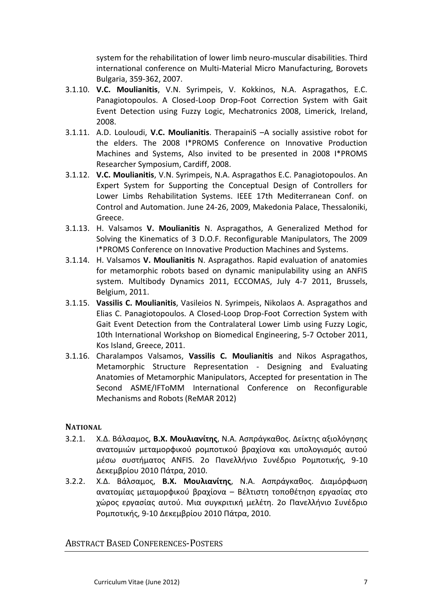system for the rehabilitation of lower limb neuro-muscular disabilities. Third international conference on Multi-Material Micro Manufacturing, Borovets Bulgaria, 359-362, 2007.

- 3.1.10. **V.C. Moulianitis**, V.N. Syrimpeis, V. Kokkinos, N.A. Aspragathos, E.C. Panagiotopoulos. A Closed-Loop Drop-Foot Correction System with Gait Event Detection using Fuzzy Logic, Mechatronics 2008, Limerick, Ireland, 2008.
- 3.1.11. A.D. Louloudi, **V.C. Moulianitis**. TherapainiS –A socially assistive robot for the elders. The 2008 I\*PROMS Conference on Innovative Production Machines and Systems, Also invited to be presented in 2008 I\*PROMS Researcher Symposium, Cardiff, 2008.
- 3.1.12. **V.C. Moulianitis**, V.N. Syrimpeis, N.A. Aspragathos E.C. Panagiotopoulos. An Expert System for Supporting the Conceptual Design of Controllers for Lower Limbs Rehabilitation Systems. IEEE 17th Mediterranean Conf. on Control and Automation. June 24-26, 2009, Makedonia Palace, Thessaloniki, Greece.
- 3.1.13. H. Valsamos **V. Moulianitis** N. Aspragathos, A Generalized Method for Solving the Kinematics of 3 D.O.F. Reconfigurable Manipulators, The 2009 I\*PROMS Conference on Innovative Production Machines and Systems.
- 3.1.14. H. Valsamos **V. Moulianitis** N. Aspragathos. Rapid evaluation of anatomies for metamorphic robots based on dynamic manipulability using an ANFIS system. Multibody Dynamics 2011, ECCOMAS, July 4-7 2011, Brussels, Belgium, 2011.
- 3.1.15. **Vassilis C. Moulianitis**, Vasileios N. Syrimpeis, Nikolaos A. Aspragathos and Elias C. Panagiotopoulos. A Closed-Loop Drop-Foot Correction System with Gait Event Detection from the Contralateral Lower Limb using Fuzzy Logic, 10th International Workshop on Biomedical Engineering, 5-7 October 2011, Kos Island, Greece, 2011.
- 3.1.16. Charalampos Valsamos, **Vassilis C. Moulianitis** and Nikos Aspragathos, Metamorphic Structure Representation - Designing and Evaluating Anatomies of Metamorphic Manipulators, Accepted for presentation in The Second ASME/IFToMM International Conference on Reconfigurable Mechanisms and Robots (ReMAR 2012)

### **NATIONAL**

- 3.2.1. Χ.Δ. Βάλσαμος, **Β.Χ. Μουλιανίτης**, Ν.Α. Ασπράγκαθος. Δείκτης αξιολόγησης ανατομιών μεταμορφικού ρομποτικού βραχίονα και υπολογισμός αυτού μέσω συστήματος ANFIS. 2o Πανελλήνιο Συνέδριο Ρομποτικής, 9-10 Δεκεμβρίου 2010 Πάτρα, 2010.
- 3.2.2. Χ.Δ. Βάλσαμος, **Β.Χ. Μουλιανίτης**, Ν.Α. Ασπράγκαθος. Διαμόρφωση ανατομίας μεταμορφικού βραχίονα – Βέλτιστη τοποθέτηση εργασίας στο χώρος εργασίας αυτού. Μια συγκριτική μελέτη. 2o Πανελλήνιο Συνέδριο Ρομποτικής, 9-10 Δεκεμβρίου 2010 Πάτρα, 2010.

### ABSTRACT BASED CONFERENCES-POSTERS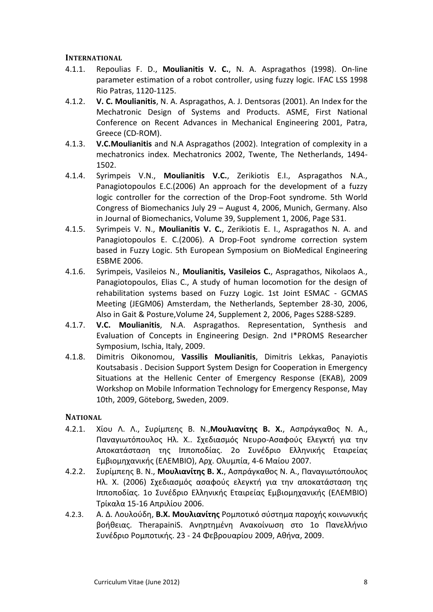### **INTERNATIONAL**

- 4.1.1. Repoulias F. D., **Moulianitis V. C.**, N. A. Aspragathos (1998). On-line parameter estimation of a robot controller, using fuzzy logic. IFAC LSS 1998 Rio Patras, 1120-1125.
- 4.1.2. **V. C. Moulianitis**, N. A. Aspragathos, A. J. Dentsoras (2001). An Index for the Mechatronic Design of Systems and Products. ASME, First National Conference on Recent Advances in Mechanical Engineering 2001, Patra, Greece (CD-ROM).
- <span id="page-7-0"></span>4.1.3. **V.C.Moulianitis** and N.A Aspragathos (2002). Integration of complexity in a mechatronics index. Mechatronics 2002, Twente, The Netherlands, 1494- 1502.
- 4.1.4. Syrimpeis V.N., **Moulianitis V.C.**, Zerikiotis E.I., Aspragathos N.A., Panagiotopoulos E.C.(2006) An approach for the development of a fuzzy logic controller for the correction of the Drop-Foot syndrome. 5th World Congress of Biomechanics July 29 – August 4, 2006, Munich, Germany. Also in Journal of Biomechanics, Volume 39, Supplement 1, 2006, Page S31.
- 4.1.5. Syrimpeis V. N., **Moulianitis V. C.**, Zerikiotis E. I., Aspragathos N. A. and Panagiotopoulos E. C.(2006). A Drop-Foot syndrome correction system based in Fuzzy Logic. 5th European Symposium on BioMedical Engineering ESBME 2006.
- 4.1.6. Syrimpeis, Vasileios N., **Moulianitis, Vasileios C.**, Aspragathos, Nikolaos A., Panagiotopoulos, Elias C., A study of human locomotion for the design of rehabilitation systems based on Fuzzy Logic. 1st Joint ESMAC - GCMAS Meeting (JEGM06) Amsterdam, the Netherlands, September 28-30, 2006, Also in Gait & Posture,Volume 24, Supplement 2, 2006, Pages S288-S289.
- 4.1.7. **V.C. Moulianitis**, N.A. Aspragathos. Representation, Synthesis and Evaluation of Concepts in Engineering Design. 2nd I\*PROMS Researcher Symposium, Ischia, Italy, 2009.
- 4.1.8. Dimitris Oikonomou, **Vassilis Moulianitis**, Dimitris Lekkas, Panayiotis Koutsabasis . Decision Support System Design for Cooperation in Emergency Situations at the Hellenic Center of Emergency Response (EKAB), 2009 Workshop on Mobile Information Technology for Emergency Response, May 10th, 2009, Göteborg, Sweden, 2009.

### **NATIONAL**

- 4.2.1. Χίου Λ. Λ., Συρίμπεης Β. Ν.,**Μουλιανίτης Β. Χ.**, Ασπράγκαθος Ν. Α., Παναγιωτόπουλος Ηλ. Χ.. Σχεδιασμός Νευρο-Ασαφούς Ελεγκτή για την Αποκατάσταση της Ιπποποδίας. 2o Συνέδριο Ελληνικής Εταιρείας Εμβιομηχανικής (ΕΛΕΜΒΙΟ), Αρχ. Ολυμπία, 4-6 Μαίου 2007.
- 4.2.2. Συρίμπεης Β. Ν., **Μουλιανίτης Β. Χ.**, Ασπράγκαθος Ν. Α., Παναγιωτόπουλος Ηλ. Χ. (2006) Σχεδιασμός ασαφούς ελεγκτή για την αποκατάσταση της Ιπποποδίας. 1o Συνέδριο Ελληνικής Εταιρείας Εμβιομηχανικής (ΕΛΕΜΒΙΟ) Τρίκαλα 15-16 Απριλίου 2006.
- 4.2.3. A. Δ. Λουλούδη, **Β.Χ. Μουλιανίτης** Ρομποτικό σύστημα παροχής κοινωνικής βοήθειας. TherapainiS. Ανηρτημένη Ανακοίνωση στο 1ο Πανελλήνιο Συνέδριο Ρομποτικής. 23 - 24 Φεβρουαρίου 2009, Αθήνα, 2009.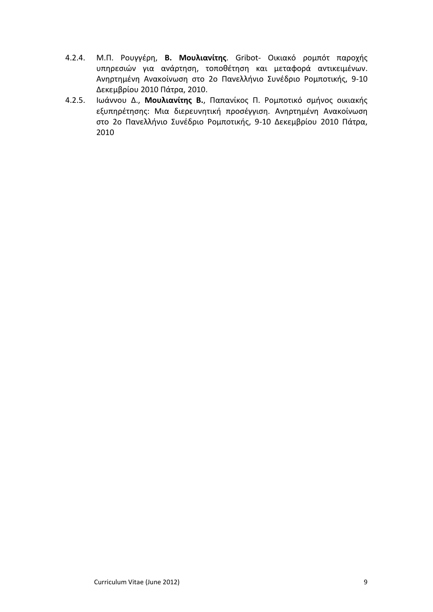- 4.2.4. Μ.Π. Ρουγγέρη, **Β. Μουλιανίτης**. Gribot- Οικιακό ρομπότ παροχής υπηρεσιών για ανάρτηση, τοποθέτηση και μεταφορά αντικειμένων. Ανηρτημένη Ανακοίνωση στο 2o Πανελλήνιο Συνέδριο Ρομποτικής, 9-10 Δεκεμβρίου 2010 Πάτρα, 2010.
- 4.2.5. Ιωάννου Δ., **Μουλιανίτης Β.**, Παπανίκος Π. Ρομποτικό σμήνος οικιακής εξυπηρέτησης: Μια διερευνητική προσέγγιση. Ανηρτημένη Ανακοίνωση στο 2o Πανελλήνιο Συνέδριο Ρομποτικής, 9-10 Δεκεμβρίου 2010 Πάτρα, 2010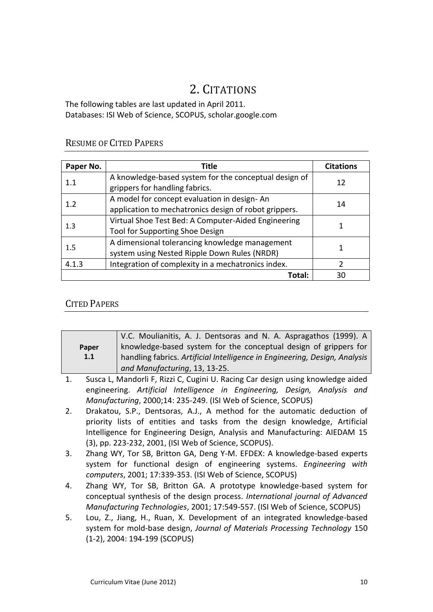# 2. CITATIONS

The following tables are last updated in April 2011. Databases: ISI Web of Science, SCOPUS, scholar.google.com

## RESUME OF CITED PAPERS

| Paper No. | Title                                                                                                | <b>Citations</b> |
|-----------|------------------------------------------------------------------------------------------------------|------------------|
| 1.1       | A knowledge-based system for the conceptual design of<br>grippers for handling fabrics.              | 12               |
| 1.2       | A model for concept evaluation in design-An<br>application to mechatronics design of robot grippers. | 14               |
| 1.3       | Virtual Shoe Test Bed: A Computer-Aided Engineering<br>Tool for Supporting Shoe Design               |                  |
| 1.5       | A dimensional tolerancing knowledge management<br>system using Nested Ripple Down Rules (NRDR)       |                  |
| 4.1.3     | $\mathfrak{p}$                                                                                       |                  |
|           | <b>Total:</b>                                                                                        | 30               |

## CITED PAPERS

|                                                                                   | V.C. Moulianitis, A. J. Dentsoras and N. A. Aspragathos (1999). A               |  |  |  |
|-----------------------------------------------------------------------------------|---------------------------------------------------------------------------------|--|--|--|
| Paper                                                                             | knowledge-based system for the conceptual design of grippers for                |  |  |  |
| 1.1<br>handling fabrics. Artificial Intelligence in Engineering, Design, Analysis |                                                                                 |  |  |  |
|                                                                                   | and Manufacturing, 13, 13-25.                                                   |  |  |  |
|                                                                                   | Susca L. Mandorli E. Rizzi C. Cugini U. Racing Car design using knowledge aided |  |  |  |

- 1. Susca L, Mandorli F, Rizzi C, Cugini U. Racing Car design using knowledge aided engineering. *Artificial Intelligence in Engineering, Design, Analysis and Manufacturing*, 2000;14: 235-249. (ISI Web of Science, SCOPUS)
- 2. [Drakatou, S.P.,](http://www.scopus.com/scopus/search/submit/author.url?author=Drakatou%2c+S.P.&origin=resultslist&authorId=6507168579&src=s) [Dentsoras, A.J.,](http://www.scopus.com/scopus/search/submit/author.url?author=Dentsoras%2c+A.J.&origin=resultslist&authorId=6602130833&src=s) A method for the automatic deduction of priority lists of entities and tasks from the design knowledge, Artificial Intelligence for Engineering Design, Analysis and Manufacturing: AIEDAM 15 (3), pp. 223-232, 2001, (ISI Web of Science, SCOPUS).
- 3. Zhang WY, Tor SB, Britton GA, Deng Y-M. EFDEX: A knowledge-based experts system for functional design of engineering systems. *Engineering with computers*, 2001; 17:339-353. (ISI Web of Science, SCOPUS)
- 4. Zhang WY, Tor SB, Britton GA. A prototype knowledge-based system for conceptual synthesis of the design process. *International journal of Advanced Manufacturing Technologies*, 2001; 17:549-557. (ISI Web of Science, SCOPUS)
- 5. [Lou, Z.,](http://www.scopus.com/scopus/search/submit/author.url?author=Lou%2c+Z.&origin=resultslist&src=s) [Jiang, H.,](http://www.scopus.com/scopus/search/submit/author.url?author=Jiang%2c+H.&origin=resultslist&src=s) [Ruan, X.](http://www.scopus.com/scopus/search/submit/author.url?author=Ruan%2c+X.&origin=resultslist&src=s) Development of an integrated knowledge-based system for mold-base design, *Journal of Materials Processing Technology* 150 (1-2), 2004: 194-199 (SCOPUS)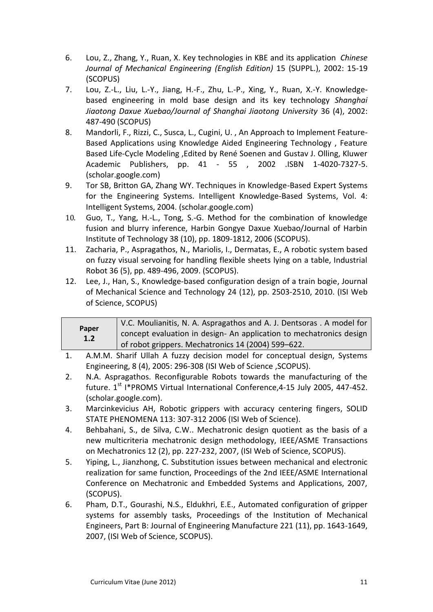- 6. [Lou, Z.,](http://www.scopus.com/scopus/search/submit/author.url?author=Lou%2c+Z.&origin=resultslist&src=s) [Zhang, Y.,](http://www.scopus.com/scopus/search/submit/author.url?author=Zhang%2c+Y.&origin=resultslist&src=s) [Ruan, X.](http://www.scopus.com/scopus/search/submit/author.url?author=Ruan%2c+X.&origin=resultslist&src=s) Key technologies in KBE and its application *Chinese Journal of Mechanical Engineering (English Edition)* 15 (SUPPL.), 2002: 15-19 (SCOPUS)
- 7. [Lou, Z.-L.,](http://www.scopus.com/scopus/search/submit/author.url?author=Lou%2c+Z.-L.&origin=resultslist&src=s) [Liu, L.-Y.,](http://www.scopus.com/scopus/search/submit/author.url?author=Liu%2c+L.-Y.&origin=resultslist&src=s) [Jiang, H.-F.,](http://www.scopus.com/scopus/search/submit/author.url?author=Jiang%2c+H.-F.&origin=resultslist&src=s) [Zhu, L.-P.,](http://www.scopus.com/scopus/search/submit/author.url?author=Zhu%2c+L.-P.&origin=resultslist&src=s) [Xing, Y.,](http://www.scopus.com/scopus/search/submit/author.url?author=Xing%2c+Y.&origin=resultslist&src=s) [Ruan, X.-Y.](http://www.scopus.com/scopus/search/submit/author.url?author=Ruan%2c+X.-Y.&origin=resultslist&src=s) Knowledgebased engineering in mold base design and its key technology *Shanghai Jiaotong Daxue Xuebao/Journal of Shanghai Jiaotong University* 36 (4), 2002: 487-490 (SCOPUS)
- 8. Mandorli, F., Rizzi, C., Susca, L., Cugini, U. , An Approach to Implement Feature-Based Applications using Knowledge Aided Engineering Technology , Feature Based Life-Cycle Modeling ,Edited by René Soenen and Gustav J. Olling, Kluwer Academic Publishers, pp. 41 - 55 , 2002 .ISBN 1-4020-7327-5. (scholar.google.com)
- 9. Tor SB, Britton GA, Zhang WY. Techniques in Knowledge-Based Expert Systems for the Engineering Systems. Intelligent Knowledge-Based Systems, Vol. 4: Intelligent Systems, 2004. (scholar.google.com)
- 10. [Guo, T.,](http://www.scopus.com/scopus/search/submit/author.url?author=Guo%2c+T.&origin=resultslist&authorId=15831756000&src=s) [Yang, H.-L.,](http://www.scopus.com/scopus/search/submit/author.url?author=Yang%2c+H.-L.&origin=resultslist&authorId=15833483300&src=s) [Tong, S.-G.](http://www.scopus.com/scopus/search/submit/author.url?author=Tong%2c+S.-G.&origin=resultslist&authorId=8230169600&src=s) Method for the combination of knowledge fusion and blurry inference, Harbin Gongye Daxue Xuebao/Journal of Harbin Institute of Technology 38 (10), pp. 1809-1812, 2006 (SCOPUS).
- 11. [Zacharia, P.,](http://www.scopus.com/search/submit/author.url?author=Zacharia%2c+P.&origin=resultslist&authorId=9736890700&src=s) [Aspragathos, N.,](http://www.scopus.com/search/submit/author.url?author=Aspragathos%2c+N.&origin=resultslist&authorId=7003803146&src=s) [Mariolis, I.,](http://www.scopus.com/search/submit/author.url?author=Mariolis%2c+I.&origin=resultslist&authorId=25646217500&src=s) [Dermatas, E.,](http://www.scopus.com/search/submit/author.url?author=Dermatas%2c+E.&origin=resultslist&authorId=35071309900&src=s) A robotic system based on fuzzy visual servoing for handling flexible sheets lying on a table, Industrial Robot 36 (5), pp. 489-496, 2009. (SCOPUS).
- 12. [Lee, J.,](http://www.scopus.com/authid/detail.url?origin=resultslist&authorId=25622414100) [Han, S.,](http://www.scopus.com/authid/detail.url?origin=resultslist&authorId=36738891900) [Knowledge-based configuration design of a train bogie,](http://www.scopus.com/record/display.url?eid=2-s2.0-78650496077&origin=resultslist&sort=plf-f&cite=2-s2.0-0032639304&src=s&imp=t&sid=xvHmHtRtXyTaeoP22Pm2ajK%3a130&sot=cite&sdt=a&sl=0&relpos=0&relpos=0&searchTerm=REFEID%282-s2.0-0032639304%29) [Journal](http://www.scopus.com/source/sourceInfo.url?sourceId=144699&origin=resultslist)  [of Mechanical Science and Technology](http://www.scopus.com/source/sourceInfo.url?sourceId=144699&origin=resultslist) 24 (12), pp. 2503-2510, 2010. (ISI Web of Science, SCOPUS)

| Paper<br>1.2 | V.C. Moulianitis, N. A. Aspragathos and A. J. Dentsoras . A model for<br>concept evaluation in design- An application to mechatronics design<br>of robot grippers. Mechatronics 14 (2004) 599-622. |
|--------------|----------------------------------------------------------------------------------------------------------------------------------------------------------------------------------------------------|
|--------------|----------------------------------------------------------------------------------------------------------------------------------------------------------------------------------------------------|

- 1. A.M.M. Sharif Ullah A fuzzy decision model for conceptual design, Systems Engineering, 8 (4), 2005: 296-308 (ISI Web of Science ,SCOPUS).
- 2. N.A. Aspragathos. Reconfigurable Robots towards the manufacturing of the future.  $1^{st}$  I\*PROMS Virtual International Conference, 4-15 July 2005, 447-452. (scholar.google.com).
- 3. Marcinkevicius AH, [Robotic grippers with accuracy centering fingers,](http://194.177.214.21/WoS/CIW.cgi?SID=W2E1kGDEE82JpB9glpn&Func=Abstract&doc=8/5) SOLID STATE PHENOMENA 113: 307-312 2006 (ISI Web of Science).
- 4. [Behbahani, S.,](http://www.scopus.com/scopus/search/submit/author.url?author=Behbahani%2c+S.&origin=resultslist&authorId=16237806600&src=s) [de Silva, C.W..](http://www.scopus.com/scopus/search/submit/author.url?author=de+Silva%2c+C.W.&origin=resultslist&authorId=7007032904&src=s) Mechatronic design quotient as the basis of a new multicriteria mechatronic design methodology, IEEE/ASME Transactions on Mechatronics 12 (2), pp. 227-232, 2007, (ISI Web of Science, SCOPUS).
- 5. [Yiping, L.,](http://www.scopus.com/scopus/search/submit/author.url?author=Yiping%2c+L.&origin=resultslist&authorId=23975226300&src=s) [Jianzhong, C.](http://www.scopus.com/scopus/search/submit/author.url?author=Jianzhong%2c+C.&origin=resultslist&authorId=23974487600&src=s) Substitution issues between mechanical and electronic realization for same function, Proceedings of the 2nd IEEE/ASME International Conference on Mechatronic and Embedded Systems and Applications, 2007, (SCOPUS).
- 6. [Pham, D.T.,](http://www.scopus.com/scopus/search/submit/author.url?author=Pham%2c+D.T.&origin=resultslist&authorId=7203009688&src=s) [Gourashi, N.S.,](http://www.scopus.com/scopus/search/submit/author.url?author=Gourashi%2c+N.S.&origin=resultslist&authorId=23396476900&src=s) [Eldukhri, E.E.,](http://www.scopus.com/scopus/search/submit/author.url?author=Eldukhri%2c+E.E.&origin=resultslist&authorId=9736845500&src=s) Automated configuration of gripper systems for assembly tasks, Proceedings of the Institution of Mechanical Engineers, Part B: Journal of Engineering Manufacture 221 (11), pp. 1643-1649, 2007, (ISI Web of Science, SCOPUS).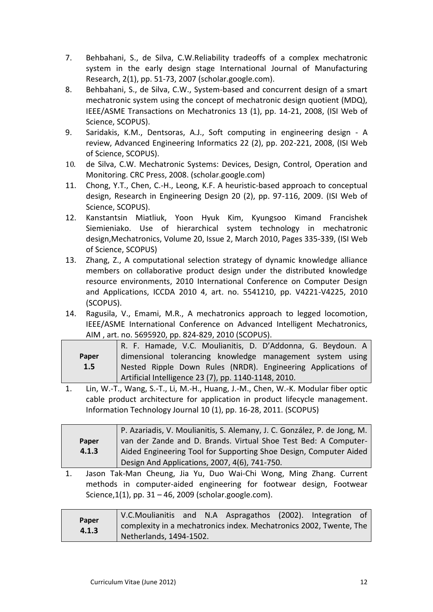- 7. [Behbahani, S.,](http://www.scopus.com/scopus/search/submit/author.url?author=Behbahani%2c+S.&origin=resultslist&authorId=16237806600&src=s) [de Silva, C.W.R](http://www.scopus.com/scopus/search/submit/author.url?author=de+Silva%2c+C.W.&origin=resultslist&authorId=7007032904&src=s)eliability tradeoffs of a complex mechatronic system in the early design stage International Journal of Manufacturing Research, 2(1), pp. 51-73, 2007 (scholar.google.com).
- 8. [Behbahani, S.,](http://www.scopus.com/scopus/search/submit/author.url?author=Behbahani%2c+S.&origin=resultslist&authorId=23977551000&src=s) [de Silva, C.W.,](http://www.scopus.com/scopus/search/submit/author.url?author=de+Silva%2c+C.W.&origin=resultslist&authorId=7007032904&src=s) System-based and concurrent design of a smart mechatronic system using the concept of mechatronic design quotient (MDQ), IEEE/ASME Transactions on Mechatronics 13 (1), pp. 14-21, 2008, (ISI Web of Science, SCOPUS).
- 9. [Saridakis, K.M.,](http://www.scopus.com/scopus/search/submit/author.url?author=Saridakis%2c+K.M.&origin=resultslist&authorId=6506142192&src=s) [Dentsoras, A.J.,](http://www.scopus.com/scopus/search/submit/author.url?author=Dentsoras%2c+A.J.&origin=resultslist&authorId=6602130833&src=s) Soft computing in engineering design A review, Advanced Engineering Informatics 22 (2), pp. 202-221, 2008, (ISI Web of Science, SCOPUS).
- 10. [de Silva, C.W.](http://www.scopus.com/scopus/search/submit/author.url?author=de+Silva%2c+C.W.&origin=resultslist&authorId=7007032904&src=s) Mechatronic Systems: Devices, Design, Control, Operation and Monitoring. CRC Press, 2008. (scholar.google.com)
- 11. [Chong, Y.T.,](http://www.scopus.com/search/submit/author.url?author=Chong%2c+Y.T.&origin=resultslist&authorId=25651466800&src=s) [Chen, C.-H.,](http://www.scopus.com/search/submit/author.url?author=Chen%2c+C.-H.&origin=resultslist&authorId=8123681200&src=s) [Leong,](http://www.scopus.com/search/submit/author.url?author=Leong%2c+K.F.&origin=resultslist&authorId=7201577760&src=s) K.F. A heuristic-based approach to conceptual design, Research in Engineering Design 20 (2), pp. 97-116, 2009. (ISI Web of Science, SCOPUS).
- 12. Kanstantsin Miatliuk, Yoon Hyuk Kim, Kyungsoo Kimand Francishek Siemieniako. Use of hierarchical system technology in mechatronic design,Mechatronics, [Volume 20, Issue 2,](http://www.sciencedirect.com/science?_ob=PublicationURL&_tockey=%23TOC%235747%232010%23999799997%231783369%23FLA%23&_cdi=5747&_pubType=J&view=c&_auth=y&_acct=C000059670&_version=1&_urlVersion=0&_userid=83471&md5=20fa7f125b4e1f2ba70b0d63308dfbcc) March 2010, Pages 335-339, (ISI Web of Science, SCOPUS)
- 13. [Zhang, Z.,](http://www.scopus.com/authid/detail.url?origin=resultslist&authorId=36442985200) [A computational selection strategy of dynamic knowledge alliance](http://www.scopus.com/record/display.url?eid=2-s2.0-77955936125&origin=resultslist&sort=plf-f&cite=2-s2.0-1842560229&src=s&imp=t&sid=xvHmHtRtXyTaeoP22Pm2ajK%3a100&sot=cite&sdt=a&sl=0&relpos=1&relpos=1&searchTerm=REFEID%282-s2.0-1842560229%29)  [members on collaborative product design under the distributed knowledge](http://www.scopus.com/record/display.url?eid=2-s2.0-77955936125&origin=resultslist&sort=plf-f&cite=2-s2.0-1842560229&src=s&imp=t&sid=xvHmHtRtXyTaeoP22Pm2ajK%3a100&sot=cite&sdt=a&sl=0&relpos=1&relpos=1&searchTerm=REFEID%282-s2.0-1842560229%29)  [resource environments,](http://www.scopus.com/record/display.url?eid=2-s2.0-77955936125&origin=resultslist&sort=plf-f&cite=2-s2.0-1842560229&src=s&imp=t&sid=xvHmHtRtXyTaeoP22Pm2ajK%3a100&sot=cite&sdt=a&sl=0&relpos=1&relpos=1&searchTerm=REFEID%282-s2.0-1842560229%29) 2010 International Conference on Computer Design and Applications, ICCDA 2010 4, art. no. 5541210, pp. V4221-V4225, 2010 (SCOPUS).
- 14. [Ragusila, V.,](http://www.scopus.com/authid/detail.url?origin=resultslist&authorId=35422595400) [Emami, M.R.,](http://www.scopus.com/authid/detail.url?origin=resultslist&authorId=35812092500) [A mechatronics approach to legged locomotion,](http://www.scopus.com/record/display.url?eid=2-s2.0-79951656521&origin=resultslist&sort=plf-f&cite=2-s2.0-1842560229&src=s&imp=t&sid=xvHmHtRtXyTaeoP22Pm2ajK%3a100&sot=cite&sdt=a&sl=0&relpos=0&relpos=0&searchTerm=REFEID%282-s2.0-1842560229%29) [IEEE/ASME International Conference on Advanced Intelligent Mechatronics,](http://www.scopus.com/source/sourceInfo.url?sourceId=73004&origin=resultslist)  [AIM](http://www.scopus.com/source/sourceInfo.url?sourceId=73004&origin=resultslist) , art. no. 5695920, pp. 824-829, 2010 (SCOPUS).

|       | R. F. Hamade, V.C. Moulianitis, D. D'Addonna, G. Beydoun. A  |  |  |  |  |  |
|-------|--------------------------------------------------------------|--|--|--|--|--|
| Paper | dimensional tolerancing knowledge management system using    |  |  |  |  |  |
| 1.5   | Nested Ripple Down Rules (NRDR). Engineering Applications of |  |  |  |  |  |
|       | Artificial Intelligence 23 (7), pp. 1140-1148, 2010.         |  |  |  |  |  |

1. [Lin, W.-T.,](http://www.scopus.com/authid/detail.url?origin=resultslist&authorId=36910847700) [Wang, S.-T.,](http://www.scopus.com/authid/detail.url?origin=resultslist&authorId=36913001000) [Li, M.-H.,](http://www.scopus.com/authid/detail.url?origin=resultslist&authorId=36910710200) [Huang, J.-M.,](http://www.scopus.com/authid/detail.url?origin=resultslist&authorId=7407191753) [Chen, W.-K.](http://www.scopus.com/authid/detail.url?origin=resultslist&authorId=36909443300) [Modular fiber optic](http://www.scopus.com/record/display.url?eid=2-s2.0-78651368872&origin=resultslist&sort=plf-f&cite=2-s2.0-77957876296&src=s&imp=t&sid=xvHmHtRtXyTaeoP22Pm2ajK%3a70&sot=cite&sdt=a&sl=0&relpos=0&relpos=0&searchTerm=REFEID%282-s2.0-77957876296%29)  [cable product architecture for application in product lifecycle management.](http://www.scopus.com/record/display.url?eid=2-s2.0-78651368872&origin=resultslist&sort=plf-f&cite=2-s2.0-77957876296&src=s&imp=t&sid=xvHmHtRtXyTaeoP22Pm2ajK%3a70&sot=cite&sdt=a&sl=0&relpos=0&relpos=0&searchTerm=REFEID%282-s2.0-77957876296%29) [Information Technology Journal](http://www.scopus.com/source/sourceInfo.url?sourceId=3900148407&origin=resultslist) 10 (1), pp. 16-28, 2011. (SCOPUS)

|       | P. Azariadis, V. Moulianitis, S. Alemany, J. C. González, P. de Jong, M.<br>van der Zande and D. Brands. Virtual Shoe Test Bed: A Computer- |  |  |  |  |  |
|-------|---------------------------------------------------------------------------------------------------------------------------------------------|--|--|--|--|--|
| Paper |                                                                                                                                             |  |  |  |  |  |
| 4.1.3 | Aided Engineering Tool for Supporting Shoe Design, Computer Aided                                                                           |  |  |  |  |  |
|       | Design And Applications, 2007, 4(6), 741-750.                                                                                               |  |  |  |  |  |

1. Jason Tak-Man Cheung, Jia Yu, Duo Wai-Chi Wong, Ming Zhang. Current methods in computer-aided engineering for footwear design, [Footwear](http://www.informaworld.com/smpp/title~db=all~content=t795447279)  [Science,](http://www.informaworld.com/smpp/title~db=all~content=t795447279) $1(1)$ , pp. 31 – 46, 2009 (scholar.google.com).

| Paper<br>4.1.3 | V.C.Moulianitis and N.A Aspragathos (2002). Integration of         |  |  |  |
|----------------|--------------------------------------------------------------------|--|--|--|
|                | complexity in a mechatronics index. Mechatronics 2002, Twente, The |  |  |  |
|                | Netherlands, 1494-1502.                                            |  |  |  |